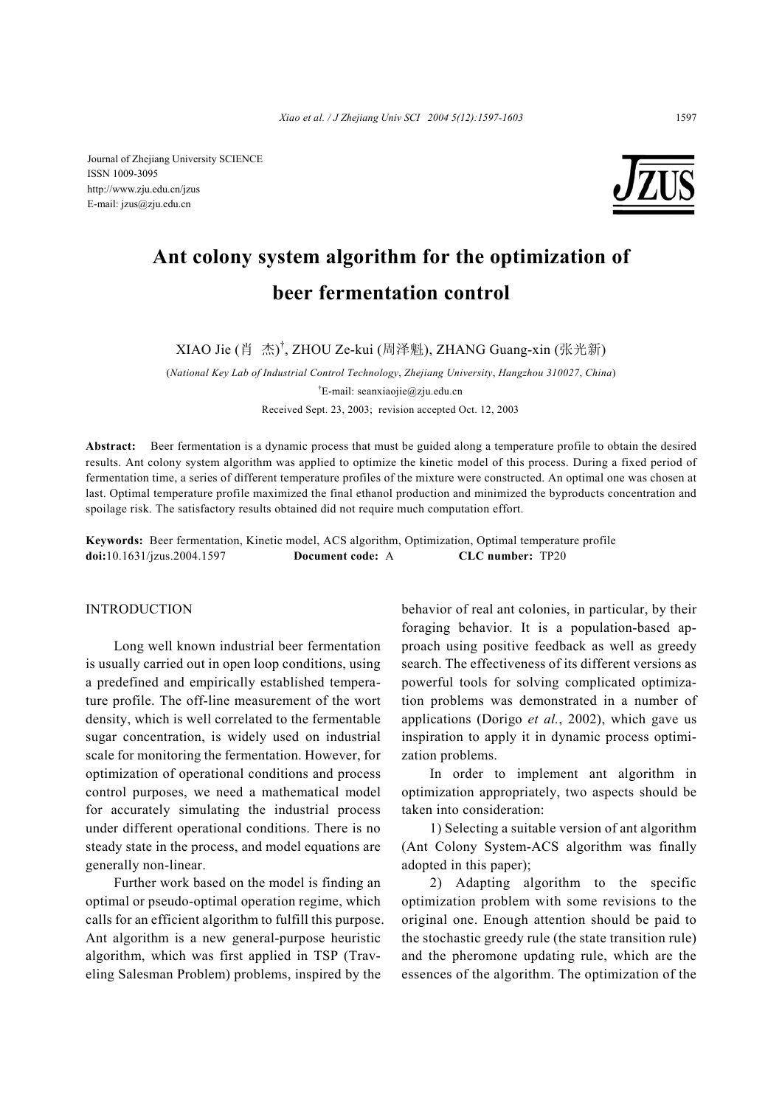Journal of Zhejiang University SCIENCE ISSN 1009-3095 http://www.zju.edu.cn/jzus E-mail: jzus@zju.edu.cn



# **Ant colony system algorithm for the optimization of beer fermentation control**

XIAO Jie (肖 杰) † , ZHOU Ze-kui (周泽魁), ZHANG Guang-xin (张光新)

(*National Key Lab of Industrial Control Technology*, *Zhejiang University*, *Hangzhou 310027*, *China*) † E-mail: seanxiaojie@zju.edu.cn Received Sept. 23, 2003; revision accepted Oct. 12, 2003

**Abstract:** Beer fermentation is a dynamic process that must be guided along a temperature profile to obtain the desired results. Ant colony system algorithm was applied to optimize the kinetic model of this process. During a fixed period of fermentation time, a series of different temperature profiles of the mixture were constructed. An optimal one was chosen at last. Optimal temperature profile maximized the final ethanol production and minimized the byproducts concentration and spoilage risk. The satisfactory results obtained did not require much computation effort.

**Keywords:** Beer fermentation, Kinetic model, ACS algorithm, Optimization, Optimal temperature profile **doi:**10.1631/jzus.2004.1597 **Document code:** A **CLC number:** TP20

#### INTRODUCTION

Long well known industrial beer fermentation is usually carried out in open loop conditions, using a predefined and empirically established temperature profile. The off-line measurement of the wort density, which is well correlated to the fermentable sugar concentration, is widely used on industrial scale for monitoring the fermentation. However, for optimization of operational conditions and process control purposes, we need a mathematical model for accurately simulating the industrial process under different operational conditions. There is no steady state in the process, and model equations are generally non-linear.

Further work based on the model is finding an optimal or pseudo-optimal operation regime, which calls for an efficient algorithm to fulfill this purpose. Ant algorithm is a new general-purpose heuristic algorithm, which was first applied in TSP (Traveling Salesman Problem) problems, inspired by the

behavior of real ant colonies, in particular, by their foraging behavior. It is a population-based approach using positive feedback as well as greedy search. The effectiveness of its different versions as powerful tools for solving complicated optimization problems was demonstrated in a number of applications (Dorigo *et al.*, 2002), which gave us inspiration to apply it in dynamic process optimization problems.

In order to implement ant algorithm in optimization appropriately, two aspects should be taken into consideration:

1) Selecting a suitable version of ant algorithm (Ant Colony System-ACS algorithm was finally adopted in this paper);

2) Adapting algorithm to the specific optimization problem with some revisions to the original one. Enough attention should be paid to the stochastic greedy rule (the state transition rule) and the pheromone updating rule, which are the essences of the algorithm. The optimization of the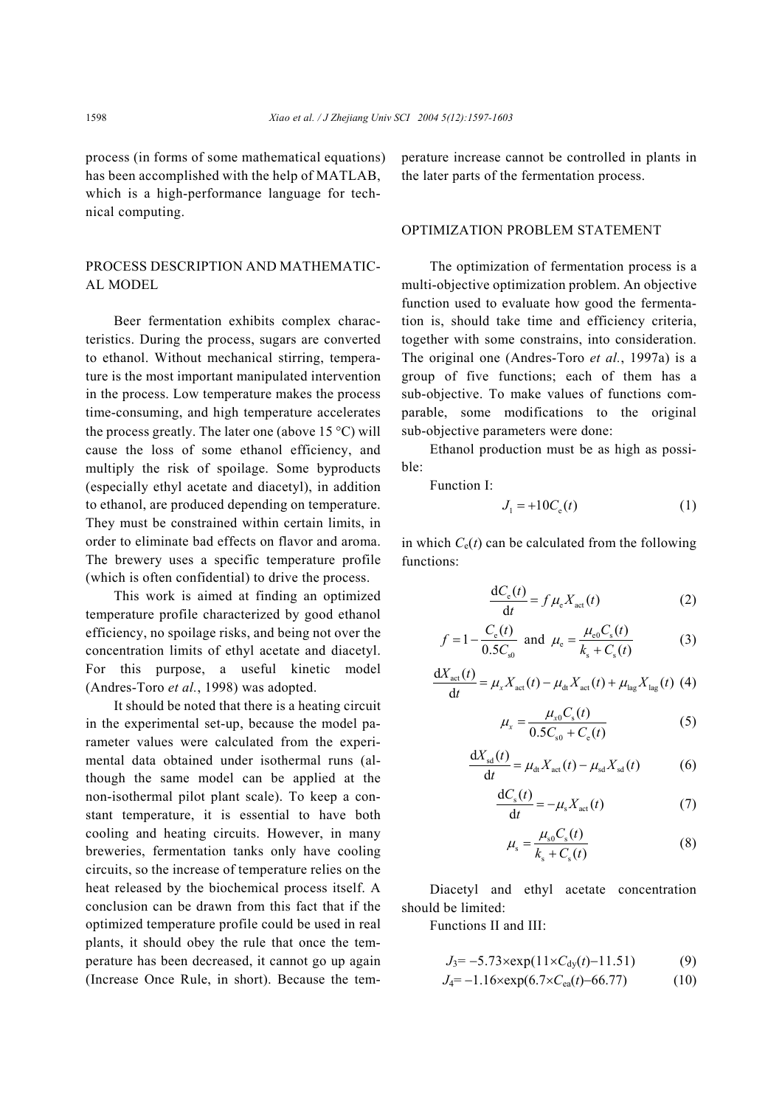process (in forms of some mathematical equations) has been accomplished with the help of MATLAB, which is a high-performance language for technical computing.

# PROCESS DESCRIPTION AND MATHEMATIC-AL MODEL

Beer fermentation exhibits complex characteristics. During the process, sugars are converted to ethanol. Without mechanical stirring, temperature is the most important manipulated intervention in the process. Low temperature makes the process time-consuming, and high temperature accelerates the process greatly. The later one (above 15  $^{\circ}$ C) will cause the loss of some ethanol efficiency, and multiply the risk of spoilage. Some byproducts (especially ethyl acetate and diacetyl), in addition to ethanol, are produced depending on temperature. They must be constrained within certain limits, in order to eliminate bad effects on flavor and aroma. The brewery uses a specific temperature profile (which is often confidential) to drive the process.

This work is aimed at finding an optimized temperature profile characterized by good ethanol efficiency, no spoilage risks, and being not over the concentration limits of ethyl acetate and diacetyl. For this purpose, a useful kinetic model (Andres-Toro *et al.*, 1998) was adopted.

It should be noted that there is a heating circuit in the experimental set-up, because the model parameter values were calculated from the experimental data obtained under isothermal runs (although the same model can be applied at the non-isothermal pilot plant scale). To keep a constant temperature, it is essential to have both cooling and heating circuits. However, in many breweries, fermentation tanks only have cooling circuits, so the increase of temperature relies on the heat released by the biochemical process itself. A conclusion can be drawn from this fact that if the optimized temperature profile could be used in real plants, it should obey the rule that once the temperature has been decreased, it cannot go up again (Increase Once Rule, in short). Because the temperature increase cannot be controlled in plants in the later parts of the fermentation process.

## OPTIMIZATION PROBLEM STATEMENT

The optimization of fermentation process is a multi-objective optimization problem. An objective function used to evaluate how good the fermentation is, should take time and efficiency criteria, together with some constrains, into consideration. The original one (Andres-Toro *et al.*, 1997a) is a group of five functions; each of them has a sub-objective. To make values of functions comparable, some modifications to the original sub-objective parameters were done:

Ethanol production must be as high as possible:

Function I:

$$
J_1 = +10C_e(t) \tag{1}
$$

in which  $C_e(t)$  can be calculated from the following functions:

$$
\frac{dC_e(t)}{dt} = f \mu_e X_{\text{act}}(t) \tag{2}
$$

$$
f = 1 - \frac{C_e(t)}{0.5C_{s0}}
$$
 and  $\mu_e = \frac{\mu_{e0}C_s(t)}{k_s + C_s(t)}$  (3)

$$
\frac{dX_{\text{act}}(t)}{dt} = \mu_x X_{\text{act}}(t) - \mu_{\text{dt}} X_{\text{act}}(t) + \mu_{\text{lag}} X_{\text{lag}}(t) (4)
$$

$$
\mu_x = \frac{\mu_{x0} C_s(t)}{0.5 C_{s0} + C_e(t)}\tag{5}
$$

$$
\frac{dX_{sd}(t)}{dt} = \mu_{dt} X_{act}(t) - \mu_{sd} X_{sd}(t)
$$
 (6)

$$
\frac{\mathrm{d}C_{\mathrm{s}}(t)}{\mathrm{d}t} = -\mu_{\mathrm{s}} X_{\mathrm{act}}(t) \tag{7}
$$

$$
\mu_{\rm s} = \frac{\mu_{\rm s0} C_{\rm s}(t)}{k_{\rm s} + C_{\rm s}(t)}\tag{8}
$$

Diacetyl and ethyl acetate concentration should be limited:

Functions II and III:

$$
J_3 = -5.73 \times \exp(11 \times C_{\text{dy}}(t) - 11.51) \tag{9}
$$

$$
J_4 = -1.16 \times \exp(6.7 \times C_{ea}(t) - 66.77) \tag{10}
$$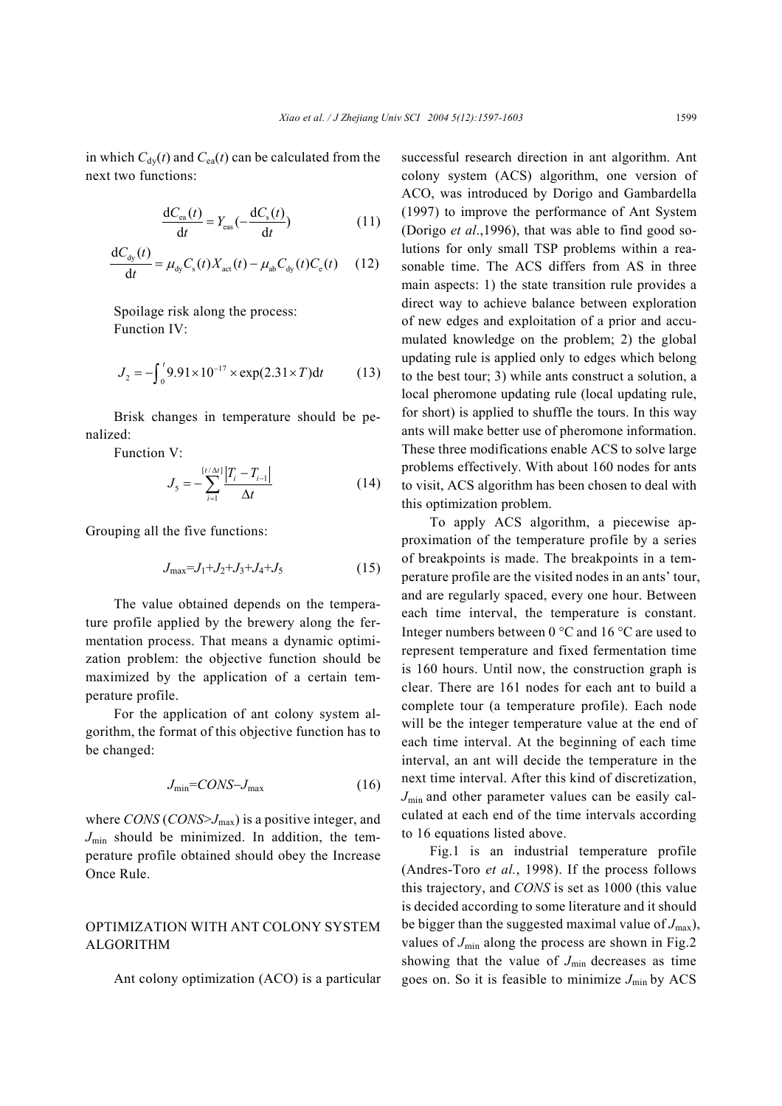in which  $C_{\text{dy}}(t)$  and  $C_{\text{ea}}(t)$  can be calculated from the next two functions:

$$
\frac{dC_{ea}(t)}{dt} = Y_{ea}(-\frac{dC_s(t)}{dt})
$$
\n(11)

$$
\frac{\mathrm{d}C_{\mathrm{dy}}(t)}{\mathrm{d}t} = \mu_{\mathrm{dy}} C_{\mathrm{s}}(t) X_{\mathrm{act}}(t) - \mu_{\mathrm{ab}} C_{\mathrm{dy}}(t) C_{\mathrm{e}}(t) \tag{12}
$$

Spoilage risk along the process: Function IV:

$$
J_2 = -\int_0^t 9.91 \times 10^{-17} \times \exp(2.31 \times T) dt
$$
 (13)

Brisk changes in temperature should be penalized:

Function V:

$$
J_{5} = -\sum_{i=1}^{\lceil t/\Delta t \rceil} \frac{|T_{i} - T_{i-1}|}{\Delta t}
$$
 (14)

Grouping all the five functions:

$$
J_{\text{max}} = J_1 + J_2 + J_3 + J_4 + J_5 \tag{15}
$$

 The value obtained depends on the temperature profile applied by the brewery along the fermentation process. That means a dynamic optimization problem: the objective function should be maximized by the application of a certain temperature profile.

For the application of ant colony system algorithm, the format of this objective function has to be changed:

$$
J_{\min} = CONS - J_{\max} \tag{16}
$$

where *CONS* (*CONS*>*J*max) is a positive integer, and  $J_{\text{min}}$  should be minimized. In addition, the temperature profile obtained should obey the Increase Once Rule.

## OPTIMIZATION WITH ANT COLONY SYSTEM ALGORITHM

Ant colony optimization (ACO) is a particular

successful research direction in ant algorithm. Ant colony system (ACS) algorithm, one version of ACO, was introduced by Dorigo and Gambardella (1997) to improve the performance of Ant System (Dorigo *et al*.,1996), that was able to find good solutions for only small TSP problems within a reasonable time. The ACS differs from AS in three main aspects: 1) the state transition rule provides a direct way to achieve balance between exploration of new edges and exploitation of a prior and accumulated knowledge on the problem; 2) the global updating rule is applied only to edges which belong to the best tour; 3) while ants construct a solution, a local pheromone updating rule (local updating rule, for short) is applied to shuffle the tours. In this way ants will make better use of pheromone information. These three modifications enable ACS to solve large problems effectively. With about 160 nodes for ants to visit, ACS algorithm has been chosen to deal with this optimization problem.

To apply ACS algorithm, a piecewise approximation of the temperature profile by a series of breakpoints is made. The breakpoints in a temperature profile are the visited nodes in an ants' tour, and are regularly spaced, every one hour. Between each time interval, the temperature is constant. Integer numbers between 0 °C and 16 °C are used to represent temperature and fixed fermentation time is 160 hours. Until now, the construction graph is clear. There are 161 nodes for each ant to build a complete tour (a temperature profile). Each node will be the integer temperature value at the end of each time interval. At the beginning of each time interval, an ant will decide the temperature in the next time interval. After this kind of discretization, *J*min and other parameter values can be easily calculated at each end of the time intervals according to 16 equations listed above.

Fig.1 is an industrial temperature profile (Andres-Toro *et al.*, 1998). If the process follows this trajectory, and *CONS* is set as 1000 (this value is decided according to some literature and it should be bigger than the suggested maximal value of  $J_{\text{max}}$ ), values of  $J_{\text{min}}$  along the process are shown in Fig.2 showing that the value of  $J_{\text{min}}$  decreases as time goes on. So it is feasible to minimize  $J_{\text{min}}$  by ACS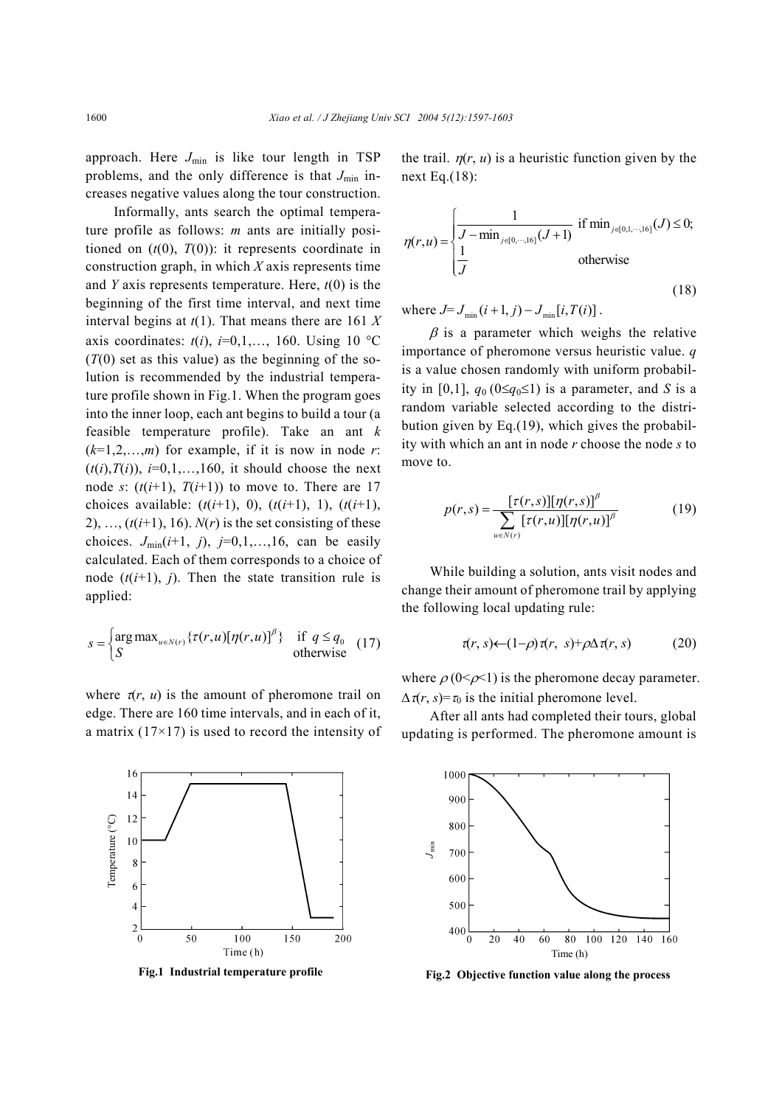approach. Here  $J_{\text{min}}$  is like tour length in TSP problems, and the only difference is that  $J_{\text{min}}$  increases negative values along the tour construction.

Informally, ants search the optimal temperature profile as follows: *m* ants are initially positioned on  $(t(0), T(0))$ : it represents coordinate in construction graph, in which *X* axis represents time and *Y* axis represents temperature. Here, *t*(0) is the beginning of the first time interval, and next time interval begins at *t*(1). That means there are 161 *X* axis coordinates:  $t(i)$ ,  $i=0,1,..., 160$ . Using 10 °C  $(T(0)$  set as this value) as the beginning of the solution is recommended by the industrial temperature profile shown in Fig.1. When the program goes into the inner loop, each ant begins to build a tour (a feasible temperature profile). Take an ant *k*   $(k=1,2,\ldots,m)$  for example, if it is now in node *r*:  $(t(i), T(i))$ ,  $i=0,1,...,160$ , it should choose the next node *s*:  $(t(i+1), T(i+1))$  to move to. There are 17 choices available:  $(t(i+1), 0)$ ,  $(t(i+1), 1)$ ,  $(t(i+1),$ 2), ...,  $(t(i+1), 16)$ .  $N(r)$  is the set consisting of these choices.  $J_{\text{min}}(i+1, j)$ ,  $j=0,1,...,16$ , can be easily calculated. Each of them corresponds to a choice of node  $(t(i+1), j)$ . Then the state transition rule is applied:

$$
s = \begin{cases} \arg \max_{u \in N(r)} \{ \tau(r, u) [\eta(r, u)]^{\beta} \} & \text{if } q \le q_0 \\ S & \text{otherwise} \end{cases}
$$
 (17)

where  $\tau(r, u)$  is the amount of pheromone trail on edge. There are 160 time intervals, and in each of it, a matrix  $(17\times17)$  is used to record the intensity of



**Fig.1 Industrial temperature profile** 

Time (h)

the trail.  $\eta(r, u)$  is a heuristic function given by the next Eq.(18):

$$
\eta(r, u) = \begin{cases} \frac{1}{J - \min_{j \in [0, \dots, 16]} (J+1)} & \text{if } \min_{j \in [0, 1, \dots, 16]} (J) \le 0; \\ \frac{1}{J} & \text{otherwise} \end{cases}
$$
(18)

where  $J = J_{\min} (i + 1, j) - J_{\min} [i, T(i)]$ .

 $\beta$  is a parameter which weighs the relative importance of pheromone versus heuristic value. *q* is a value chosen randomly with uniform probability in [0,1],  $q_0$  (0≤ $q_0$ ≤1) is a parameter, and *S* is a random variable selected according to the distribution given by Eq.(19), which gives the probability with which an ant in node *r* choose the node *s* to move to.

$$
p(r,s) = \frac{[\tau(r,s)][\eta(r,s)]^{\beta}}{\sum_{u \in N(r)} [\tau(r,u)][\eta(r,u)]^{\beta}}
$$
(19)

While building a solution, ants visit nodes and change their amount of pheromone trail by applying the following local updating rule:

$$
\tau(r, s) \leftarrow (1-\rho)\tau(r, s) + \rho \Delta \tau(r, s) \tag{20}
$$

where  $\rho$  (0< $\rho$ <1) is the pheromone decay parameter.  $\Delta \tau(r, s) = \tau_0$  is the initial pheromone level.

After all ants had completed their tours, global updating is performed. The pheromone amount is



**Fig.2 Objective function value along the process**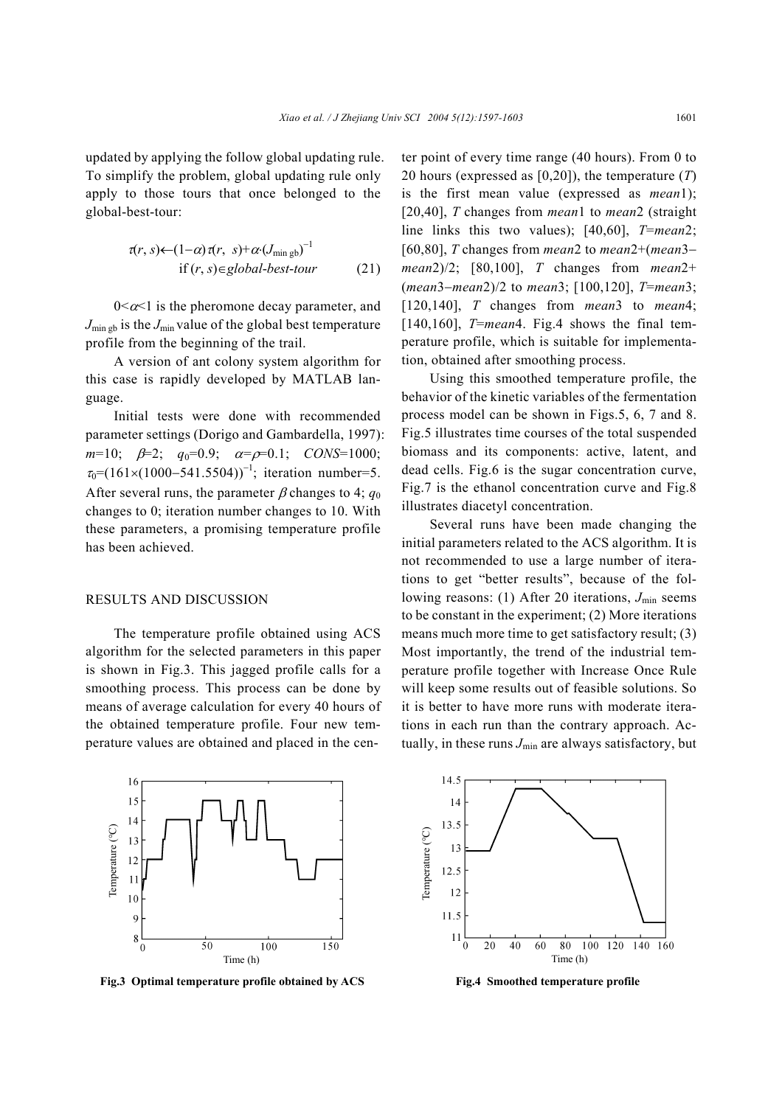updated by applying the follow global updating rule. To simplify the problem, global updating rule only apply to those tours that once belonged to the global-best-tour:

$$
\tau(r, s) \leftarrow (1-\alpha) \tau(r, s) + \alpha (J_{\min g b})^{-1}
$$
  
if  $(r, s) \in global-best-tour$  (21)

 $0 \leq \alpha \leq 1$  is the pheromone decay parameter, and  $J_{\text{min gb}}$  is the  $J_{\text{min}}$  value of the global best temperature profile from the beginning of the trail.

A version of ant colony system algorithm for this case is rapidly developed by MATLAB language.

Initial tests were done with recommended parameter settings (Dorigo and Gambardella, 1997):  $m=10$ ;  $\beta=2$ ;  $q_0=0.9$ ;  $\alpha=\rho=0.1$ ; *CONS*=1000;  $\tau_0 = (161 \times (1000 - 541.5504))^{-1}$ ; iteration number=5. After several runs, the parameter  $\beta$  changes to 4;  $q_0$ changes to 0; iteration number changes to 10. With these parameters, a promising temperature profile has been achieved.

## RESULTS AND DISCUSSION

The temperature profile obtained using ACS algorithm for the selected parameters in this paper is shown in Fig.3. This jagged profile calls for a smoothing process. This process can be done by means of average calculation for every 40 hours of the obtained temperature profile. Four new temperature values are obtained and placed in the center point of every time range (40 hours). From 0 to 20 hours (expressed as [0,20]), the temperature (*T*) is the first mean value (expressed as *mean*1); [20,40], *T* changes from *mean*1 to *mean*2 (straight line links this two values); [40,60], *T*=*mean*2; [60,80], *T* changes from *mean*2 to *mean*2+(*mean*3− *mean*2)/2; [80,100], *T* changes from *mean*2+ (*mean*3−*mean*2)/2 to *mean*3; [100,120], *T*=*mean*3; [120,140], *T* changes from *mean*3 to *mean*4; [140,160], *T*=*mean*4. Fig.4 shows the final temperature profile, which is suitable for implementation, obtained after smoothing process.

Using this smoothed temperature profile, the behavior of the kinetic variables of the fermentation process model can be shown in Figs.5, 6, 7 and 8. Fig.5 illustrates time courses of the total suspended biomass and its components: active, latent, and dead cells. Fig.6 is the sugar concentration curve, Fig.7 is the ethanol concentration curve and Fig.8 illustrates diacetyl concentration.

Several runs have been made changing the initial parameters related to the ACS algorithm. It is not recommended to use a large number of iterations to get "better results", because of the following reasons: (1) After 20 iterations,  $J_{\text{min}}$  seems to be constant in the experiment; (2) More iterations means much more time to get satisfactory result; (3) Most importantly, the trend of the industrial temperature profile together with Increase Once Rule will keep some results out of feasible solutions. So it is better to have more runs with moderate iterations in each run than the contrary approach. Actually, in these runs  $J_{\text{min}}$  are always satisfactory, but



**Fig.3 Optimal temperature profile obtained by ACS**



**Fig.4 Smoothed temperature profile**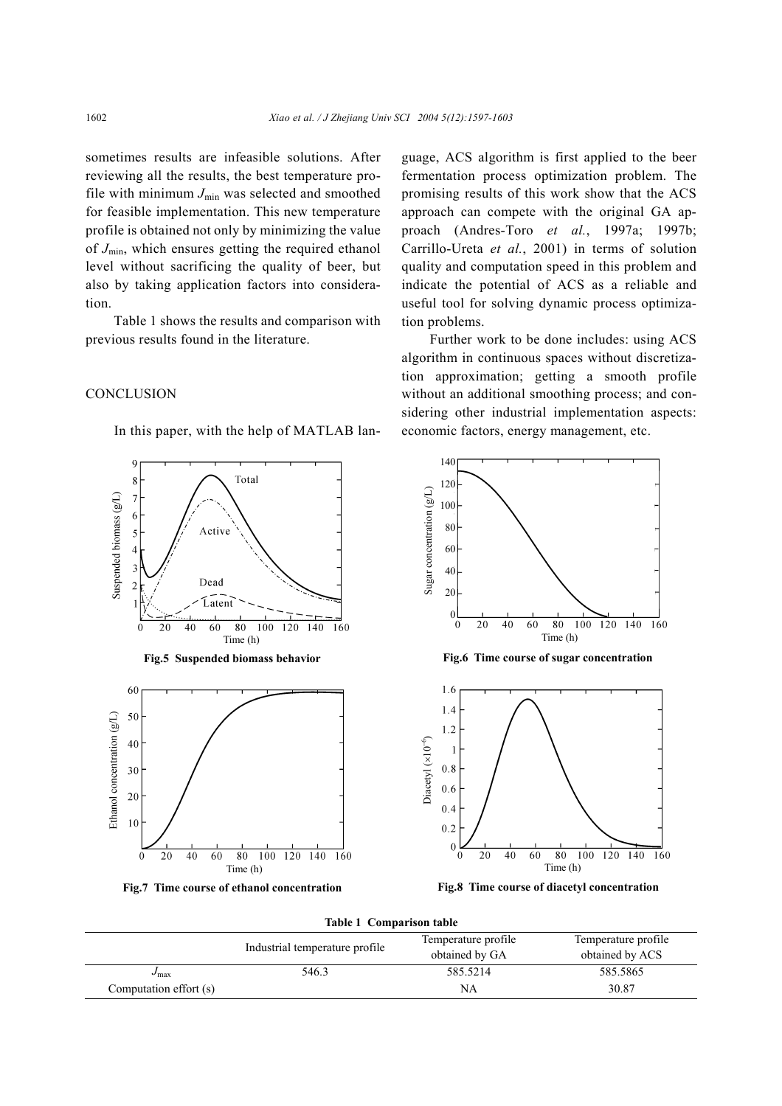sometimes results are infeasible solutions. After reviewing all the results, the best temperature profile with minimum  $J_{\text{min}}$  was selected and smoothed for feasible implementation. This new temperature profile is obtained not only by minimizing the value of *J*min, which ensures getting the required ethanol level without sacrificing the quality of beer, but also by taking application factors into consideration.

Table 1 shows the results and comparison with previous results found in the literature.

#### **CONCLUSION**

8

 $\overline{7}$ 6

In this paper, with the help of MATLAB lan-

Total

guage, ACS algorithm is first applied to the beer fermentation process optimization problem. The promising results of this work show that the ACS approach can compete with the original GA approach (Andres-Toro *et al.*, 1997a; 1997b; Carrillo-Ureta *et al.*, 2001) in terms of solution quality and computation speed in this problem and indicate the potential of ACS as a reliable and useful tool for solving dynamic process optimization problems.

Further work to be done includes: using ACS algorithm in continuous spaces without discretization approximation; getting a smooth profile without an additional smoothing process; and considering other industrial implementation aspects: economic factors, energy management, etc.

 $\overline{160}$ 

 $\overline{160}$ 

140 120 100



Industrial temperature profile<br>Industrial temperature profile<br>Industrial contract temperature profile obtained by GA Temperature profile obtained by ACS *J*<sub>max</sub> 546.3 585.5214 585.5865 Computation effort (s)  $\beta$  30.87